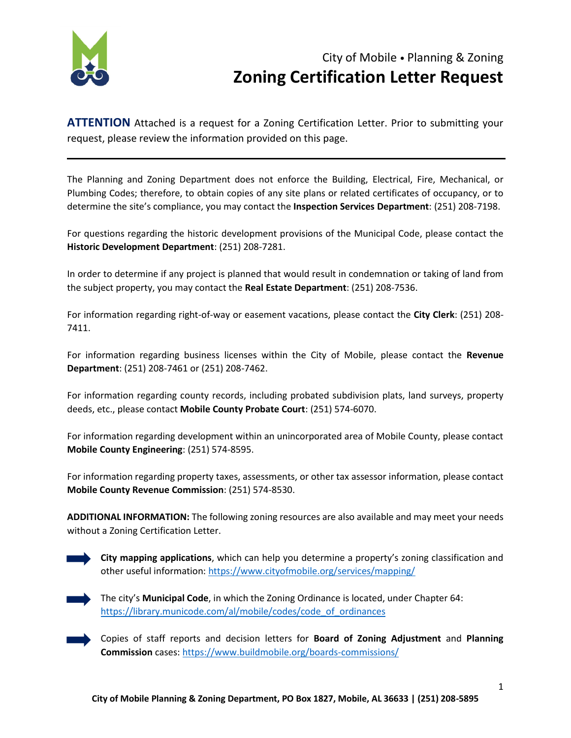

## City of Mobile • Planning & Zoning **Zoning Certification Letter Request**

**ATTENTION** Attached is a request for a Zoning Certification Letter. Prior to submitting your request, please review the information provided on this page.

The Planning and Zoning Department does not enforce the Building, Electrical, Fire, Mechanical, or Plumbing Codes; therefore, to obtain copies of any site plans or related certificates of occupancy, or to determine the site's compliance, you may contact the **Inspection Services Department**: (251) 208-7198.

For questions regarding the historic development provisions of the Municipal Code, please contact the **Historic Development Department**: (251) 208-7281.

In order to determine if any project is planned that would result in condemnation or taking of land from the subject property, you may contact the **Real Estate Department**: (251) 208-7536.

For information regarding right-of-way or easement vacations, please contact the **City Clerk**: (251) 208- 7411.

For information regarding business licenses within the City of Mobile, please contact the **Revenue Department**: (251) 208-7461 or (251) 208-7462.

For information regarding county records, including probated subdivision plats, land surveys, property deeds, etc., please contact **Mobile County Probate Court**: (251) 574-6070.

For information regarding development within an unincorporated area of Mobile County, please contact **Mobile County Engineering**: (251) 574-8595.

For information regarding property taxes, assessments, or other tax assessor information, please contact **Mobile County Revenue Commission**: (251) 574-8530.

**ADDITIONAL INFORMATION:** The following zoning resources are also available and may meet your needs without a Zoning Certification Letter.





The city's **Municipal Code**, in which the Zoning Ordinance is located, under Chapter 64: [https://library.municode.com/al/mobile/codes/code\\_of\\_ordinances](https://library.municode.com/al/mobile/codes/code_of_ordinances)

Copies of staff reports and decision letters for **Board of Zoning Adjustment** and **Planning Commission** cases[: https://www.buildmobile.org/boards-commissions/](https://www.buildmobile.org/boards-commissions/)